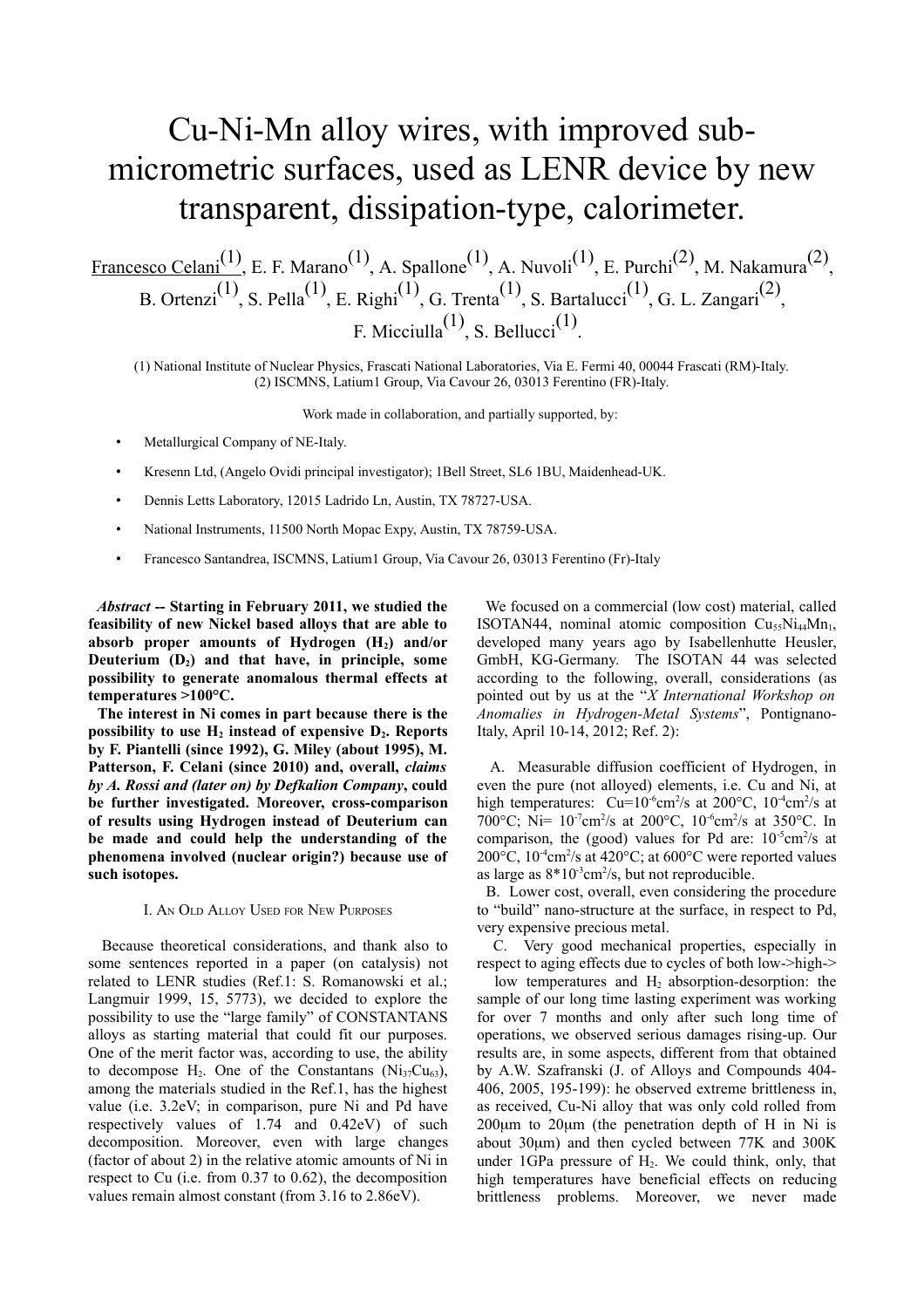## Cu-Ni-Mn alloy wires, with improved submicrometric surfaces, used as LENR device by new transparent, dissipation-type, calorimeter.

Francesco Celani<sup>(1)</sup>, E. F. Marano<sup>(1)</sup>, A. Spallone<sup>(1)</sup>, A. Nuvoli<sup>(1)</sup>, E. Purchi<sup>(2)</sup>, M. Nakamura<sup>(2)</sup>, B. Ortenzi<sup>(1)</sup>, S. Pella<sup>(1)</sup>, E. Righi<sup>(1)</sup>, G. Trenta<sup>(1)</sup>, S. Bartalucci<sup>(1)</sup>, G. L. Zangari<sup>(2)</sup>, F. Micciulla<sup>(1)</sup>, S. Bellucci<sup>(1)</sup>.

(1) National Institute of Nuclear Physics, Frascati National Laboratories, Via E. Fermi 40, 00044 Frascati (RM)-Italy. (2) ISCMNS, Latium1 Group, Via Cavour 26, 03013 Ferentino (FR)-Italy.

Work made in collaboration, and partially supported, by:

- Metallurgical Company of NE-Italy.
- Kresenn Ltd, (Angelo Ovidi principal investigator); 1Bell Street, SL6 1BU, Maidenhead-UK.
- Dennis Letts Laboratory, 12015 Ladrido Ln, Austin, TX 78727-USA.
- National Instruments, 11500 North Mopac Expy, Austin, TX 78759-USA.
- Francesco Santandrea, ISCMNS, Latium1 Group, Via Cavour 26, 03013 Ferentino (Fr)-Italy

*Abstract* **-- Starting in February 2011, we studied the feasibility of new Nickel based alloys that are able to absorb proper amounts of Hydrogen (H2) and/or Deuterium (D2) and that have, in principle, some possibility to generate anomalous thermal effects at temperatures >100°C.** 

 **The interest in Ni comes in part because there is the possibility to use H2 instead of expensive D2. Reports by F. Piantelli (since 1992), G. Miley (about 1995), M. Patterson, F. Celani (since 2010) and, overall,** *claims by A. Rossi and (later on) by Defkalion Company***, could be further investigated. Moreover, cross-comparison of results using Hydrogen instead of Deuterium can be made and could help the understanding of the phenomena involved (nuclear origin?) because use of such isotopes.**

## I. AN OLD ALLOY USED FOR NEW PURPOSES

 Because theoretical considerations, and thank also to some sentences reported in a paper (on catalysis) not related to LENR studies (Ref.1: S. Romanowski et al.; Langmuir 1999, 15, 5773), we decided to explore the possibility to use the "large family" of CONSTANTANS alloys as starting material that could fit our purposes. One of the merit factor was, according to use, the ability to decompose  $H_2$ . One of the Constantans (Ni<sub>37</sub>Cu<sub>63</sub>), among the materials studied in the Ref.1, has the highest value (i.e. 3.2eV; in comparison, pure Ni and Pd have respectively values of 1.74 and 0.42eV) of such decomposition. Moreover, even with large changes (factor of about 2) in the relative atomic amounts of Ni in respect to Cu (i.e. from 0.37 to 0.62), the decomposition values remain almost constant (from 3.16 to 2.86eV).

 We focused on a commercial (low cost) material, called ISOTAN44, nominal atomic composition  $Cu<sub>55</sub>Ni<sub>44</sub>Mn<sub>1</sub>$ , developed many years ago by Isabellenhutte Heusler, GmbH, KG-Germany. The ISOTAN 44 was selected according to the following, overall, considerations (as pointed out by us at the "*X International Workshop on Anomalies in Hydrogen-Metal Systems*", Pontignano-Italy, April 10-14, 2012; Ref. 2):

 A. Measurable diffusion coefficient of Hydrogen, in even the pure (not alloyed) elements, i.e. Cu and Ni, at high temperatures:  $Cu=10^{-6}$ cm<sup>2</sup>/s at 200 $^{\circ}$ C, 10<sup>-4</sup>cm<sup>2</sup>/s at 700°C; Ni=  $10^{-7}$ cm<sup>2</sup>/s at 200°C,  $10^{-6}$ cm<sup>2</sup>/s at 350°C. In comparison, the (good) values for Pd are:  $10^{-5}$ cm<sup>2</sup>/s at 200 $\rm ^{\circ}C$ , 10<sup>-4</sup>cm<sup>2</sup>/s at 420 $\rm ^{\circ}C$ ; at 600 $\rm ^{\circ}C$  were reported values as large as  $8*10^3$ cm<sup>2</sup>/s, but not reproducible.

 B. Lower cost, overall, even considering the procedure to "build" nano-structure at the surface, in respect to Pd, very expensive precious metal.

 C. Very good mechanical properties, especially in respect to aging effects due to cycles of both low->high->

low temperatures and  $H_2$  absorption-desorption: the sample of our long time lasting experiment was working for over 7 months and only after such long time of operations, we observed serious damages rising-up. Our results are, in some aspects, different from that obtained by A.W. Szafranski (J. of Alloys and Compounds 404- 406, 2005, 195-199): he observed extreme brittleness in, as received, Cu-Ni alloy that was only cold rolled from 200µm to 20µm (the penetration depth of H in Ni is about 30µm) and then cycled between 77K and 300K under 1GPa pressure of  $H<sub>2</sub>$ . We could think, only, that high temperatures have beneficial effects on reducing brittleness problems. Moreover, we never made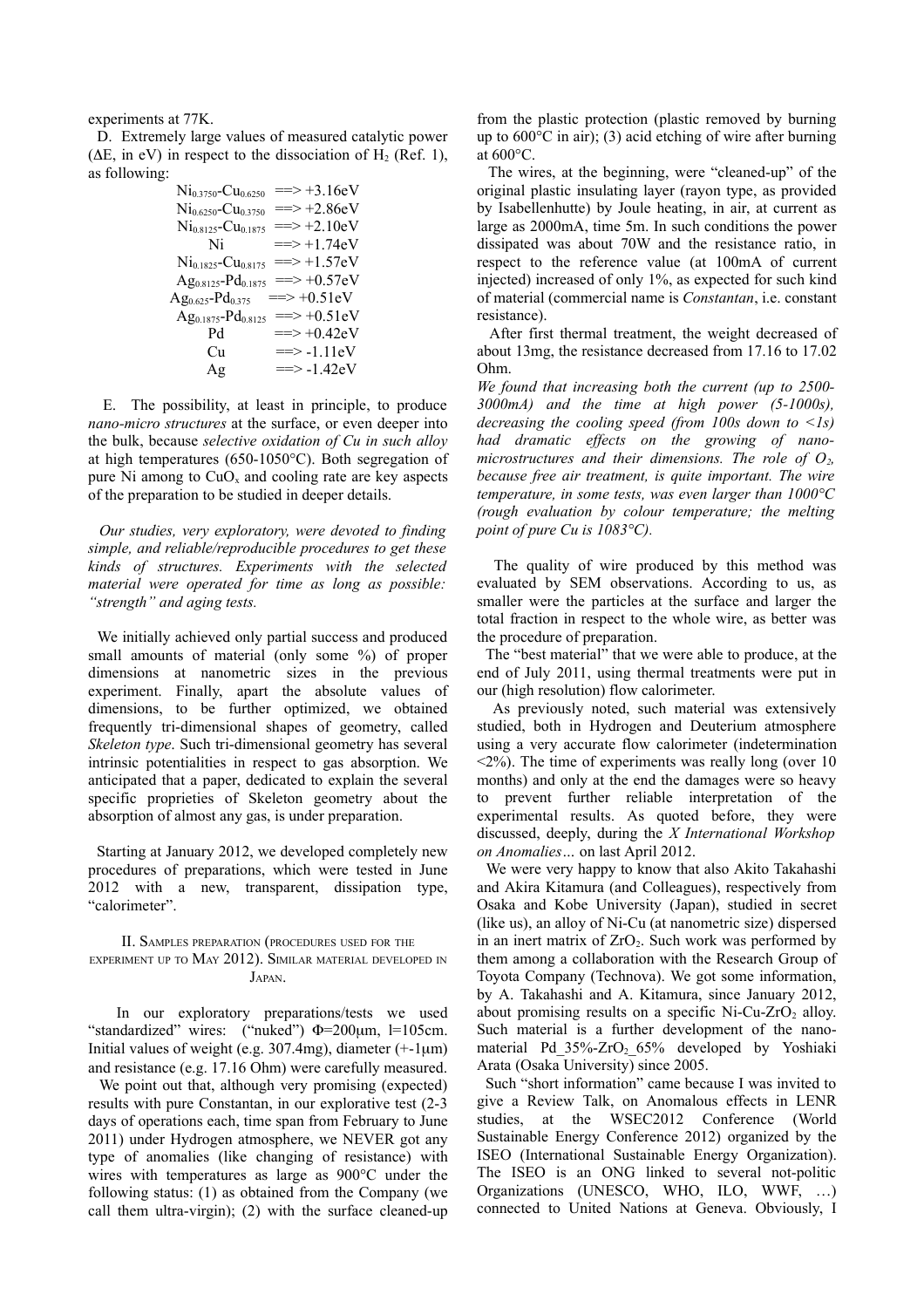experiments at 77K.

 D. Extremely large values of measured catalytic power ( $\Delta E$ , in eV) in respect to the dissociation of H<sub>2</sub> (Ref. 1), as following:

| $Ni0$ 3750– $Cu0.6250$              | $\Rightarrow$ +3.16eV         |
|-------------------------------------|-------------------------------|
| $Ni_{0.6250}$ -Cu <sub>0.3750</sub> | $\Rightarrow$ +2.86eV         |
| $Ni0.8125-Cu0.1875$                 | $=\gt+2.10eV$                 |
| Ni                                  | $\Rightarrow$ +1.74eV         |
| $Ni0.1825-Cu0.8175$                 | $\Rightarrow$ +1.57eV         |
| $Ag_{0.8125} - Pd_{0.1875}$         | $\Rightarrow$ +0.57eV         |
| $Ag0.625-Pd0.375$                   | $\Rightarrow$ +0.51eV         |
| $Ag0.1875-Pd0.8125$                 | $\Rightarrow$ +0.51eV         |
| Pd                                  | $\Rightarrow$ +0.42eV         |
| Сu                                  | $\Rightarrow -1.11eV$         |
| Αg                                  | $\Rightarrow -1.42 \text{eV}$ |

 E. The possibility, at least in principle, to produce *nano-micro structures* at the surface, or even deeper into the bulk, because *selective oxidation of Cu in such alloy* at high temperatures (650-1050°C). Both segregation of pure Ni among to  $CuO<sub>x</sub>$  and cooling rate are key aspects of the preparation to be studied in deeper details.

 *Our studies, very exploratory, were devoted to finding simple, and reliable/reproducible procedures to get these kinds of structures. Experiments with the selected material were operated for time as long as possible: "strength" and aging tests.* 

 We initially achieved only partial success and produced small amounts of material (only some %) of proper dimensions at nanometric sizes in the previous experiment. Finally, apart the absolute values of dimensions, to be further optimized, we obtained frequently tri-dimensional shapes of geometry, called *Skeleton type*. Such tri-dimensional geometry has several intrinsic potentialities in respect to gas absorption. We anticipated that a paper, dedicated to explain the several specific proprieties of Skeleton geometry about the absorption of almost any gas, is under preparation.

 Starting at January 2012, we developed completely new procedures of preparations, which were tested in June 2012 with a new, transparent, dissipation type, "calorimeter".

II. SAMPLES PREPARATION (PROCEDURES USED FOR THE EXPERIMENT UP TO MAY 2012). SIMILAR MATERIAL DEVELOPED IN JAPAN.

 In our exploratory preparations/tests we used "standardized" wires: ("nuked") Φ=200µm, l=105cm. Initial values of weight (e.g. 307.4mg), diameter  $(+1\mu m)$ and resistance (e.g. 17.16 Ohm) were carefully measured.

We point out that, although very promising (expected) results with pure Constantan, in our explorative test (2-3 days of operations each, time span from February to June 2011) under Hydrogen atmosphere, we NEVER got any type of anomalies (like changing of resistance) with wires with temperatures as large as 900°C under the following status: (1) as obtained from the Company (we call them ultra-virgin); (2) with the surface cleaned-up

from the plastic protection (plastic removed by burning up to 600°C in air); (3) acid etching of wire after burning at 600°C.

 The wires, at the beginning, were "cleaned-up" of the original plastic insulating layer (rayon type, as provided by Isabellenhutte) by Joule heating, in air, at current as large as 2000mA, time 5m. In such conditions the power dissipated was about 70W and the resistance ratio, in respect to the reference value (at 100mA of current injected) increased of only 1%, as expected for such kind of material (commercial name is *Constantan*, i.e. constant resistance).

 After first thermal treatment, the weight decreased of about 13mg, the resistance decreased from 17.16 to 17.02 Ohm.

*We found that increasing both the current (up to 2500- 3000mA) and the time at high power (5-1000s), decreasing the cooling speed (from 100s down to <1s) had dramatic effects on the growing of nanomicrostructures and their dimensions. The role of*  $O_2$ *, because free air treatment, is quite important. The wire temperature, in some tests, was even larger than 1000°C (rough evaluation by colour temperature; the melting point of pure Cu is 1083°C).*

 The quality of wire produced by this method was evaluated by SEM observations. According to us, as smaller were the particles at the surface and larger the total fraction in respect to the whole wire, as better was the procedure of preparation.

 The "best material" that we were able to produce, at the end of July 2011, using thermal treatments were put in our (high resolution) flow calorimeter.

 As previously noted, such material was extensively studied, both in Hydrogen and Deuterium atmosphere using a very accurate flow calorimeter (indetermination  $\langle 2\% \rangle$ . The time of experiments was really long (over 10) months) and only at the end the damages were so heavy to prevent further reliable interpretation of the experimental results. As quoted before, they were discussed, deeply, during the *X International Workshop on Anomalies…* on last April 2012.

 We were very happy to know that also Akito Takahashi and Akira Kitamura (and Colleagues), respectively from Osaka and Kobe University (Japan), studied in secret (like us), an alloy of Ni-Cu (at nanometric size) dispersed in an inert matrix of  $ZrO<sub>2</sub>$ . Such work was performed by them among a collaboration with the Research Group of Toyota Company (Technova). We got some information, by A. Takahashi and A. Kitamura, since January 2012, about promising results on a specific Ni-Cu-ZrO<sub>2</sub> alloy. Such material is a further development of the nanomaterial Pd 35%-ZrO<sub>2</sub> 65% developed by Yoshiaki Arata (Osaka University) since 2005.

 Such "short information" came because I was invited to give a Review Talk, on Anomalous effects in LENR studies, at the WSEC2012 Conference (World Sustainable Energy Conference 2012) organized by the ISEO (International Sustainable Energy Organization). The ISEO is an ONG linked to several not-politic Organizations (UNESCO, WHO, ILO, WWF, …) connected to United Nations at Geneva. Obviously, I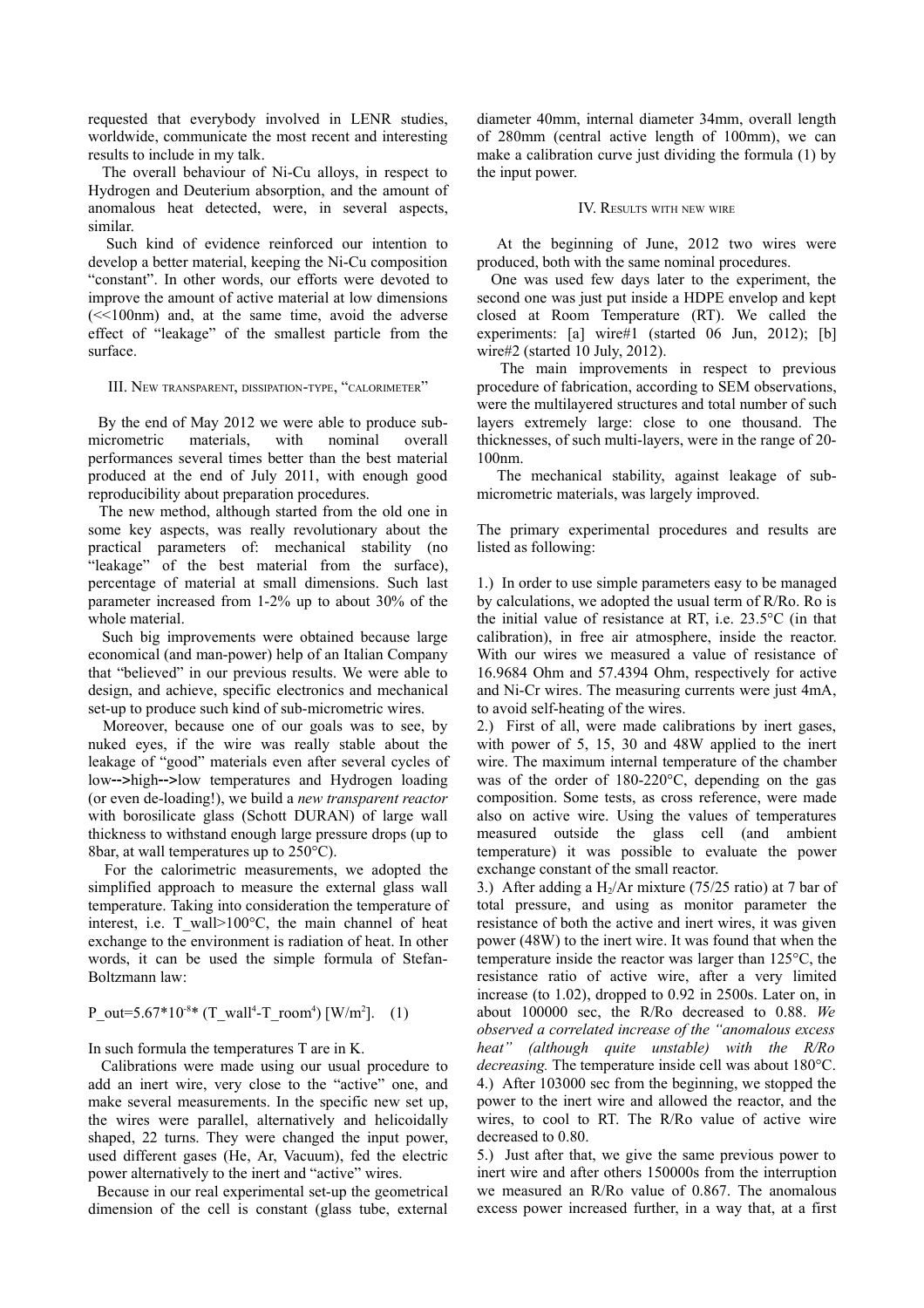requested that everybody involved in LENR studies, worldwide, communicate the most recent and interesting results to include in my talk.

 The overall behaviour of Ni-Cu alloys, in respect to Hydrogen and Deuterium absorption, and the amount of anomalous heat detected, were, in several aspects, similar.

 Such kind of evidence reinforced our intention to develop a better material, keeping the Ni-Cu composition "constant". In other words, our efforts were devoted to improve the amount of active material at low dimensions  $\ll$  100nm) and, at the same time, avoid the adverse effect of "leakage" of the smallest particle from the surface.

III. NEW TRANSPARENT, DISSIPATION-TYPE, "CALORIMETER"

 By the end of May 2012 we were able to produce submicrometric materials, with nominal overall performances several times better than the best material produced at the end of July 2011, with enough good reproducibility about preparation procedures.

 The new method, although started from the old one in some key aspects, was really revolutionary about the practical parameters of: mechanical stability (no "leakage" of the best material from the surface), percentage of material at small dimensions. Such last parameter increased from 1-2% up to about 30% of the whole material.

 Such big improvements were obtained because large economical (and man-power) help of an Italian Company that "believed" in our previous results. We were able to design, and achieve, specific electronics and mechanical set-up to produce such kind of sub-micrometric wires.

 Moreover, because one of our goals was to see, by nuked eyes, if the wire was really stable about the leakage of "good" materials even after several cycles of low-->high-->low temperatures and Hydrogen loading (or even de-loading!), we build a *new transparent reactor* with borosilicate glass (Schott DURAN) of large wall thickness to withstand enough large pressure drops (up to 8bar, at wall temperatures up to 250°C).

 For the calorimetric measurements, we adopted the simplified approach to measure the external glass wall temperature. Taking into consideration the temperature of interest, i.e. T wall>100 $^{\circ}$ C, the main channel of heat exchange to the environment is radiation of heat. In other words, it can be used the simple formula of Stefan-Boltzmann law:

## P\_out=5.67\*10<sup>-8\*</sup> (T\_wall<sup>4</sup>-T\_room<sup>4</sup>) [W/m<sup>2</sup>]. (1)

In such formula the temperatures T are in K.

 Calibrations were made using our usual procedure to add an inert wire, very close to the "active" one, and make several measurements. In the specific new set up, the wires were parallel, alternatively and helicoidally shaped, 22 turns. They were changed the input power, used different gases (He, Ar, Vacuum), fed the electric power alternatively to the inert and "active" wires.

 Because in our real experimental set-up the geometrical dimension of the cell is constant (glass tube, external

diameter 40mm, internal diameter 34mm, overall length of 280mm (central active length of 100mm), we can make a calibration curve just dividing the formula (1) by the input power.

## IV. RESULTS WITH NEW WIRE

 At the beginning of June, 2012 two wires were produced, both with the same nominal procedures.

 One was used few days later to the experiment, the second one was just put inside a HDPE envelop and kept closed at Room Temperature (RT). We called the experiments:  $[a]$  wire#1 (started 06 Jun, 2012);  $[b]$ wire#2 (started 10 July, 2012).

 The main improvements in respect to previous procedure of fabrication, according to SEM observations, were the multilayered structures and total number of such layers extremely large: close to one thousand. The thicknesses, of such multi-layers, were in the range of 20- 100nm.

 The mechanical stability, against leakage of submicrometric materials, was largely improved.

The primary experimental procedures and results are listed as following:

1.) In order to use simple parameters easy to be managed by calculations, we adopted the usual term of R/Ro. Ro is the initial value of resistance at RT, i.e. 23.5°C (in that calibration), in free air atmosphere, inside the reactor. With our wires we measured a value of resistance of 16.9684 Ohm and 57.4394 Ohm, respectively for active and Ni-Cr wires. The measuring currents were just 4mA, to avoid self-heating of the wires.

2.) First of all, were made calibrations by inert gases, with power of 5, 15, 30 and 48W applied to the inert wire. The maximum internal temperature of the chamber was of the order of 180-220°C, depending on the gas composition. Some tests, as cross reference, were made also on active wire. Using the values of temperatures measured outside the glass cell (and ambient temperature) it was possible to evaluate the power exchange constant of the small reactor.

3.) After adding a  $H_2/Ar$  mixture (75/25 ratio) at 7 bar of total pressure, and using as monitor parameter the resistance of both the active and inert wires, it was given power (48W) to the inert wire. It was found that when the temperature inside the reactor was larger than 125°C, the resistance ratio of active wire, after a very limited increase (to 1.02), dropped to 0.92 in 2500s. Later on, in about 100000 sec, the R/Ro decreased to 0.88. *We observed a correlated increase of the "anomalous excess heat" (although quite unstable) with the R/Ro decreasing.* The temperature inside cell was about 180°C. 4.) After 103000 sec from the beginning, we stopped the power to the inert wire and allowed the reactor, and the wires, to cool to RT. The R/Ro value of active wire decreased to 0.80.

5.) Just after that, we give the same previous power to inert wire and after others 150000s from the interruption we measured an R/Ro value of 0.867. The anomalous excess power increased further, in a way that, at a first